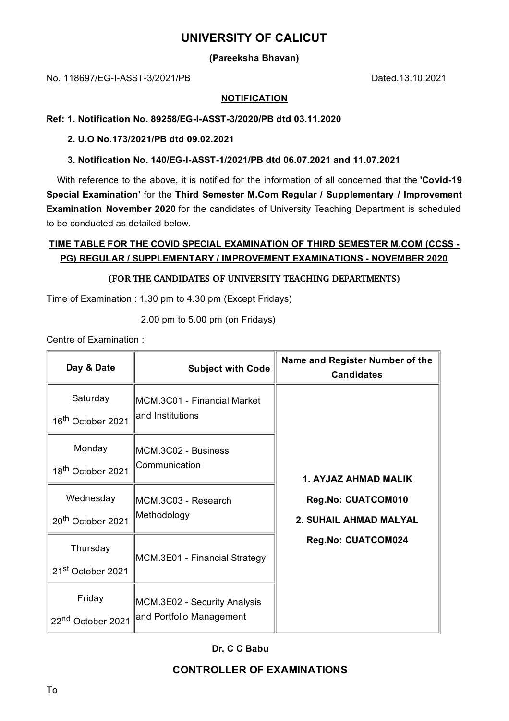# **UNIVERSITY OF CALICUT**

**(Pareeksha Bhavan)**

No. 118697/EG-I-ASST-3/2021/PB Dated.13.10.2021

### **NOTIFICATION**

## **Ref: 1. Notification No. 89258/EG-I-ASST-3/2020/PB dtd 03.11.2020**

**2. U.O No.173/2021/PB dtd 09.02.2021**

**3. Notification No. 140/EG-I-ASST-1/2021/PB dtd 06.07.2021 and 11.07.2021**

With reference to the above, it is notified for the information of all concerned that the **'Covid-19 Special Examination'** for the **Third Semester M.Com Regular / Supplementary / Improvement Examination November 2020** for the candidates of University Teaching Department is scheduled to be conducted as detailed below.

# **TIME TABLE FOR THE COVID SPECIAL EXAMINATION OF THIRD SEMESTER M.COM (CCSS - PG) REGULAR / SUPPLEMENTARY / IMPROVEMENT EXAMINATIONS - NOVEMBER 2020**

## **(FOR THE CANDIDATES OF UNIVERSITY TEACHING DEPARTMENTS)**

Time of Examination : 1.30 pm to 4.30 pm (Except Fridays)

2.00 pm to 5.00 pm (on Fridays)

Centre of Examination :

| Day & Date                                 | <b>Subject with Code</b>                                 | Name and Register Number of the<br><b>Candidates</b>                                       |
|--------------------------------------------|----------------------------------------------------------|--------------------------------------------------------------------------------------------|
| Saturday<br>16 <sup>th</sup> October 2021  | MCM.3C01 - Financial Market<br>and Institutions          | 1. AYJAZ AHMAD MALIK<br>Reg.No: CUATCOM010<br>2. SUHAIL AHMAD MALYAL<br>Reg.No: CUATCOM024 |
| Monday<br>18 <sup>th</sup> October 2021    | MCM.3C02 - Business<br>Communication                     |                                                                                            |
| Wednesday<br>20 <sup>th</sup> October 2021 | MCM.3C03 - Research<br>Methodology                       |                                                                                            |
| Thursday<br>21 <sup>st</sup> October 2021  | MCM.3E01 - Financial Strategy                            |                                                                                            |
| Friday<br>22 <sup>nd</sup> October 2021    | MCM.3E02 - Security Analysis<br>and Portfolio Management |                                                                                            |

### **Dr. C C Babu**